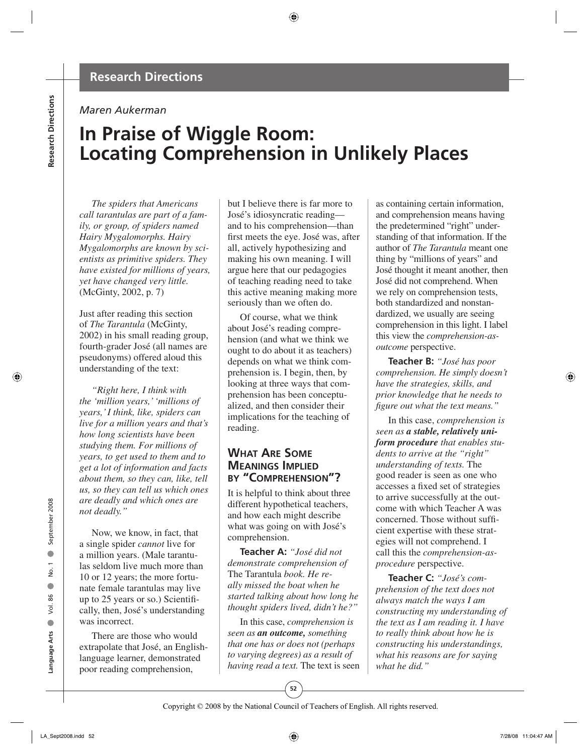# **Research Directions**

#### *Maren Aukerman*

# **In Praise of Wiggle Room: Locating Comprehension in Unlikely Places**

*The spiders that Americans call tarantulas are part of a family, or group, of spiders named Hairy Mygalomorphs. Hairy Mygalomorphs are known by scientists as primitive spiders. They have existed for millions of years, yet have changed very little.*  (McGinty, 2002, p. 7)

Just after reading this section of *The Tarantula* (McGinty, 2002) in his small reading group, fourth-grader José (all names are pseudonyms) offered aloud this understanding of the text:

*"Right here, I think with the 'million years,' 'millions of years,' I think, like, spiders can live for a million years and that's how long scientists have been studying them. For millions of years, to get used to them and to get a lot of information and facts about them, so they can, like, tell us, so they can tell us which ones are deadly and which ones are not deadly."*

Now, we know, in fact, that a single spider *cannot* live for a million years. (Male tarantulas seldom live much more than 10 or 12 years; the more fortunate female tarantulas may live up to 25 years or so.) Scientifi cally, then, José's understanding was incorrect.

There are those who would extrapolate that José, an Englishlanguage learner, demonstrated poor reading comprehension,

but I believe there is far more to José's idiosyncratic reading and to his comprehension—than first meets the eye. José was, after all, actively hypothesizing and making his own meaning. I will argue here that our pedagogies of teaching reading need to take this active meaning making more seriously than we often do.

Of course, what we think about José's reading comprehension (and what we think we ought to do about it as teachers) depends on what we think comprehension is. I begin, then, by looking at three ways that comprehension has been conceptualized, and then consider their implications for the teaching of reading.

# **WHAT ARE SOME MEANINGS IMPLIED BY "COMPREHENSION"?**

It is helpful to think about three different hypothetical teachers, and how each might describe what was going on with José's comprehension.

**Teacher A:** *"José did not demonstrate comprehension of*  The Tarantula *book. He really missed the boat when he started talking about how long he thought spiders lived, didn't he?"*

In this case, *comprehension is seen as an outcome, something that one has or does not (perhaps to varying degrees) as a result of having read a text.* The text is seen as containing certain information, and comprehension means having the predetermined "right" understanding of that information. If the author of *The Tarantula* meant one thing by "millions of years" and José thought it meant another, then José did not comprehend. When we rely on comprehension tests, both standardized and nonstandardized, we usually are seeing comprehension in this light. I label this view the *comprehension-asoutcome* perspective.

**Teacher B:** *"José has poor comprehension. He simply doesn't have the strategies, skills, and prior knowledge that he needs to fi gure out what the text means."*

In this case, *comprehension is seen as a stable, relatively uniform procedure that enables students to arrive at the "right" understanding of texts.* The good reader is seen as one who accesses a fixed set of strategies to arrive successfully at the outcome with which Teacher A was concerned. Those without sufficient expertise with these strategies will not comprehend. I call this the *comprehension-as procedure* perspective.

**Teacher C:** *"José's comprehension of the text does not always match the ways I am constructing my understanding of the text as I am reading it. I have to really think about how he is constructing his understandings, what his reasons are for saying what he did."*

● No. 1

 $\bullet$  $\overline{a}$ ρò.  $\bullet$ 

● September 2008

September 2008

**52**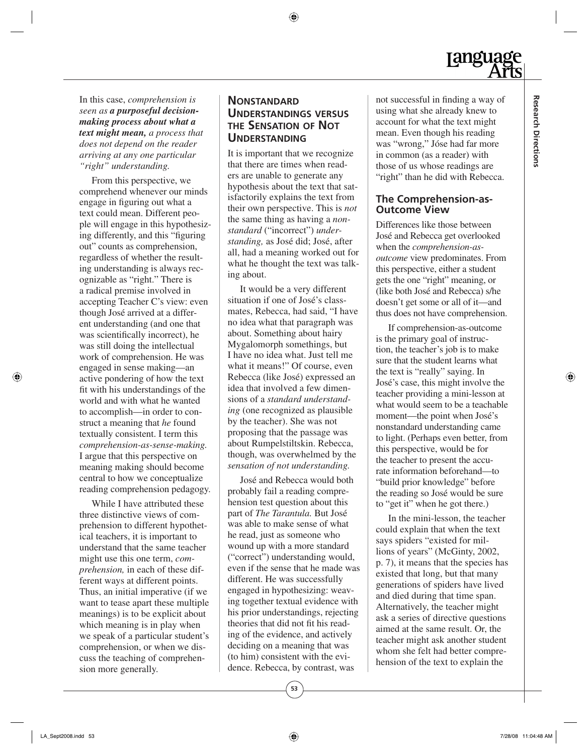In this case, *comprehension is seen as a purposeful decisionmaking process about what a text might mean, a process that does not depend on the reader arriving at any one particular "right" understanding.*

From this perspective, we comprehend whenever our minds engage in figuring out what a text could mean. Different people will engage in this hypothesizing differently, and this "figuring" out" counts as comprehension, regardless of whether the resulting understanding is always recognizable as "right." There is a radical premise involved in accepting Teacher C's view: even though José arrived at a different understanding (and one that was scientifically incorrect), he was still doing the intellectual work of comprehension. He was engaged in sense making—an active pondering of how the text fit with his understandings of the world and with what he wanted to accomplish—in order to construct a meaning that *he* found textually consistent. I term this *comprehension-as-sense- making.*  I argue that this perspective on meaning making should become central to how we conceptualize reading comprehension pedagogy.

While I have attributed these three distinctive views of comprehension to different hypothetical teachers, it is important to understand that the same teacher might use this one term, *comprehension,* in each of these different ways at different points. Thus, an initial imperative (if we want to tease apart these multiple meanings) is to be explicit about which meaning is in play when we speak of a particular student's comprehension, or when we discuss the teaching of comprehension more generally.

# **NONSTANDARD UNDERSTANDINGS VERSUS THE SENSATION OF NOT UNDERSTANDING**

It is important that we recognize that there are times when readers are unable to generate any hypothesis about the text that satisfactorily explains the text from their own perspective. This is *not* the same thing as having a *nonstandard* ("incorrect") *understanding,* as José did; José, after all, had a meaning worked out for what he thought the text was talking about.

It would be a very different situation if one of José's classmates, Rebecca, had said, "I have no idea what that paragraph was about. Something about hairy Mygalomorph somethings, but I have no idea what. Just tell me what it means!" Of course, even Rebecca (like José) expressed an idea that involved a few dimensions of a *standard understanding* (one recognized as plausible by the teacher). She was not proposing that the passage was about Rumpelstiltskin. Rebecca, though, was overwhelmed by the *sensation of not understanding.*

José and Rebecca would both probably fail a reading comprehension test question about this part of *The Tarantula.* But José was able to make sense of what he read, just as someone who wound up with a more standard ("correct") understanding would, even if the sense that he made was different. He was successfully engaged in hypothesizing: weaving together textual evidence with his prior understandings, rejecting theories that did not fit his reading of the evidence, and actively deciding on a meaning that was (to him) consistent with the evidence. Rebecca, by contrast, was

not successful in finding a way of using what she already knew to account for what the text might mean. Even though his reading was "wrong," Jóse had far more in common (as a reader) with those of us whose readings are "right" than he did with Rebecca.

## **The Comprehension-as-Outcome View**

Differences like those between José and Rebecca get overlooked when the *comprehension-as outcome* view predominates. From this perspective, either a student gets the one "right" meaning, or (like both José and Rebecca) s/he doesn't get some or all of it—and thus does not have comprehension.

If comprehension-as-outcome is the primary goal of instruction, the teacher's job is to make sure that the student learns what the text is "really" saying. In José's case, this might involve the teacher providing a mini-lesson at what would seem to be a teachable moment—the point when José's nonstandard understanding came to light. (Perhaps even better, from this perspective, would be for the teacher to present the accurate information beforehand—to "build prior knowledge" before the reading so José would be sure to "get it" when he got there.)

In the mini-lesson, the teacher could explain that when the text says spiders "existed for millions of years" (McGinty, 2002, p. 7), it means that the species has existed that long, but that many generations of spiders have lived and died during that time span. Alternatively, the teacher might ask a series of directive questions aimed at the same result. Or, the teacher might ask another student whom she felt had better comprehension of the text to explain the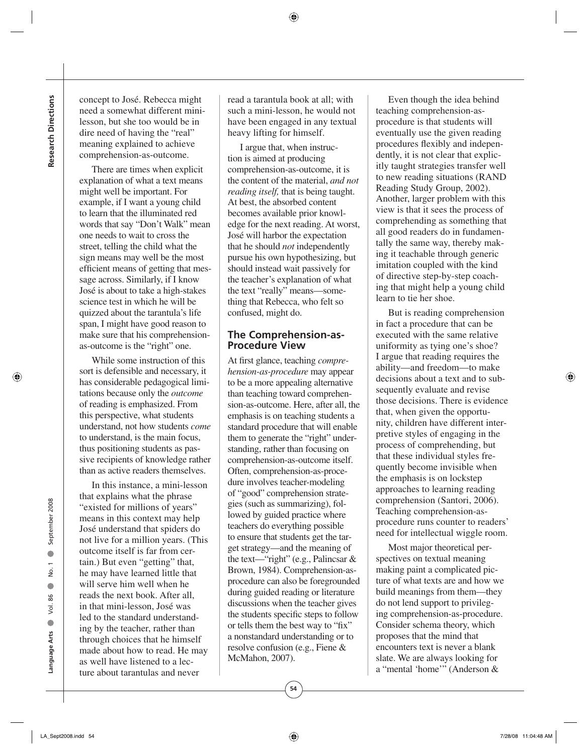concept to José. Rebecca might need a somewhat different minilesson, but she too would be in dire need of having the "real" meaning explained to achieve comprehension-as-outcome.

There are times when explicit explanation of what a text means might well be important. For example, if I want a young child to learn that the illuminated red words that say "Don't Walk" mean one needs to wait to cross the street, telling the child what the sign means may well be the most efficient means of getting that message across. Similarly, if I know José is about to take a high-stakes science test in which he will be quizzed about the tarantula's life span, I might have good reason to make sure that his comprehensionas-outcome is the "right" one.

While some instruction of this sort is defensible and necessary, it has considerable pedagogical limitations because only the *outcome*  of reading is emphasized. From this perspective, what students understand, not how students *come*  to understand, is the main focus, thus positioning students as passive recipients of knowledge rather than as active readers themselves.

In this instance, a mini-lesson that explains what the phrase "existed for millions of years" means in this context may help José understand that spiders do not live for a million years. (This outcome itself is far from certain.) But even "getting" that, he may have learned little that will serve him well when he reads the next book. After all, in that mini-lesson, José was led to the standard understanding by the teacher, rather than through choices that he himself made about how to read. He may as well have listened to a lecture about tarantulas and never

read a tarantula book at all; with such a mini-lesson, he would not have been engaged in any textual heavy lifting for himself.

I argue that, when instruction is aimed at producing comprehension-as-outcome, it is the content of the material, *and not reading itself,* that is being taught. At best, the absorbed content becomes available prior knowledge for the next reading. At worst, José will harbor the expectation that he should *not* independently pursue his own hypothesizing, but should instead wait passively for the teacher's explanation of what the text "really" means—something that Rebecca, who felt so confused, might do.

#### **The Comprehension-as-Procedure View**

At first glance, teaching *comprehension-as-procedure* may appear to be a more appealing alternative than teaching toward comprehension-as-outcome. Here, after all, the emphasis is on teaching students a standard procedure that will enable them to generate the "right" understanding, rather than focusing on comprehension-as-outcome itself. Often, comprehension-as-procedure involves teacher-modeling of "good" comprehension strategies (such as summarizing), followed by guided practice where teachers do everything possible to ensure that students get the target strategy—and the meaning of the text—"right" (e.g., Palincsar & Brown, 1984). Comprehension-asprocedure can also be foregrounded during guided reading or literature discussions when the teacher gives the students specific steps to follow or tells them the best way to "fix" a nonstandard understanding or to resolve confusion (e.g., Fiene & McMahon, 2007).

**54**

Even though the idea behind teaching comprehension-as procedure is that students will eventually use the given reading procedures flexibly and independently, it is not clear that explicitly taught strategies transfer well to new reading situations (RAND Reading Study Group, 2002). Another, larger problem with this view is that it sees the process of comprehending as something that all good readers do in fundamentally the same way, thereby making it teachable through generic imitation coupled with the kind of directive step-by-step coaching that might help a young child learn to tie her shoe.

But is reading comprehension in fact a procedure that can be executed with the same relative uniformity as tying one's shoe? I argue that reading requires the ability—and freedom—to make decisions about a text and to subsequently evaluate and revise those decisions. There is evidence that, when given the opportunity, children have different interpretive styles of engaging in the process of comprehending, but that these individual styles frequently become invisible when the emphasis is on lockstep approaches to learning reading comprehension (Santori, 2006). Teaching comprehension-as procedure runs counter to readers' need for intellectual wiggle room.

Most major theoretical perspectives on textual meaning making paint a complicated picture of what texts are and how we build meanings from them—they do not lend support to privileging comprehension-as- procedure. Consider schema theory, which proposes that the mind that encounters text is never a blank slate. We are always looking for a "mental 'home'" (Anderson &

**Language Arts**

Language Arts

● Vol. 86

Vol. 86  $\bullet$ 

● No. 1

 $\bullet$  $\overline{a}$ ρò.  $\bullet$ 

● September 2008

September 2008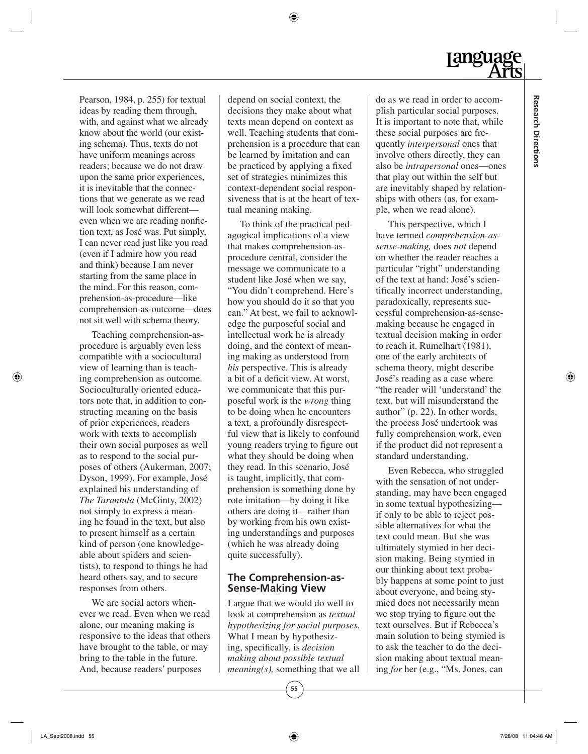**Research Directions**

**Research Directions** 

Pearson, 1984, p. 255) for textual ideas by reading them through, with, and against what we already know about the world (our existing schema). Thus, texts do not have uniform meanings across readers; because we do not draw upon the same prior experiences, it is inevitable that the connections that we generate as we read will look somewhat different even when we are reading nonfiction text, as José was. Put simply, I can never read just like you read (even if I admire how you read and think) because I am never starting from the same place in the mind. For this reason, comprehension-as-procedure—like comprehension-as- outcome—does not sit well with schema theory.

Teaching comprehension-asprocedure is arguably even less compatible with a sociocultural view of learning than is teaching comprehension as outcome. Socioculturally oriented educators note that, in addition to constructing meaning on the basis of prior experiences, readers work with texts to accomplish their own social purposes as well as to respond to the social purposes of others (Aukerman, 2007; Dyson, 1999). For example, José explained his understanding of *The Tarantula* (McGinty, 2002) not simply to express a meaning he found in the text, but also to present himself as a certain kind of person (one knowledgeable about spiders and scientists), to respond to things he had heard others say, and to secure responses from others.

We are social actors whenever we read. Even when we read alone, our meaning making is responsive to the ideas that others have brought to the table, or may bring to the table in the future. And, because readers' purposes

depend on social context, the decisions they make about what texts mean depend on context as well. Teaching students that comprehension is a procedure that can be learned by imitation and can be practiced by applying a fixed set of strategies minimizes this context-dependent social responsiveness that is at the heart of textual meaning making.

To think of the practical pedagogical implications of a view that makes comprehension-asprocedure central, consider the message we communicate to a student like José when we say, "You didn't comprehend. Here's how you should do it so that you can." At best, we fail to acknowledge the purposeful social and intellectual work he is already doing, and the context of meaning making as understood from *his* perspective. This is already a bit of a deficit view. At worst, we communicate that this purposeful work is the *wrong* thing to be doing when he encounters a text, a profoundly disrespectful view that is likely to confound young readers trying to figure out what they should be doing when they read. In this scenario, José is taught, implicitly, that comprehension is something done by rote imitation—by doing it like others are doing it—rather than by working from his own existing understandings and purposes (which he was already doing quite successfully).

#### **The Comprehension-as-Sense-Making View**

I argue that we would do well to look at comprehension as *textual hypothesizing for social purposes.*  What I mean by hypothesizing, specifically, is *decision making about possible textual meaning(s),* something that we all do as we read in order to accomplish particular social purposes. It is important to note that, while these social purposes are frequently *interpersonal* ones that involve others directly, they can also be *intrapersonal* ones—ones that play out within the self but are inevitably shaped by relationships with others (as, for example, when we read alone).

This perspective, which I have termed *comprehension-assense-making,* does *not* depend on whether the reader reaches a particular "right" understanding of the text at hand: José's scientifically incorrect understanding, paradoxically, represents successful comprehension-as-sense making because he engaged in textual decision making in order to reach it. Rumelhart (1981), one of the early architects of schema theory, might describe José's reading as a case where "the reader will 'understand' the text, but will misunderstand the author" (p. 22). In other words, the process José undertook was fully comprehension work, even if the product did not represent a standard understanding.

Even Rebecca, who struggled with the sensation of not understanding, may have been engaged in some textual hypothesizing if only to be able to reject possible alternatives for what the text could mean. But she was ultimately stymied in her decision making. Being stymied in our thinking about text probably happens at some point to just about everyone, and being stymied does not necessarily mean we stop trying to figure out the text ourselves. But if Rebecca's main solution to being stymied is to ask the teacher to do the decision making about textual meaning *for* her (e.g., "Ms. Jones, can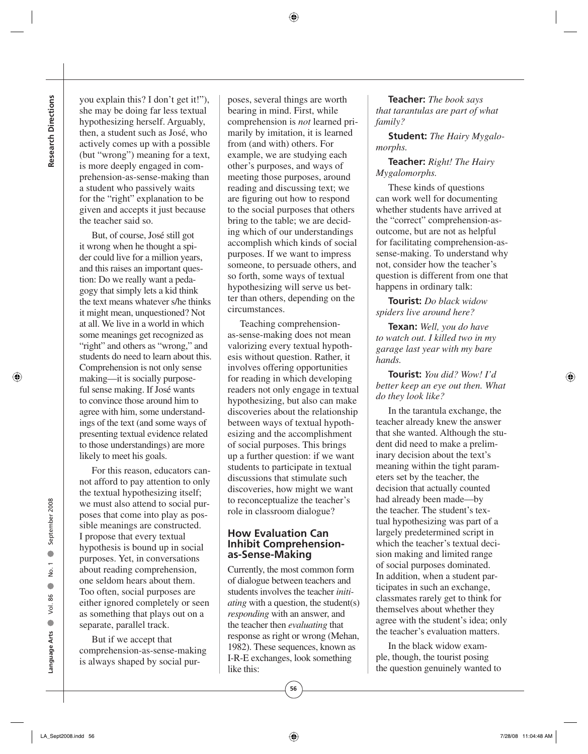**Research Directions Research Directions**

you explain this? I don't get it!"), she may be doing far less textual hypothesizing herself. Arguably, then, a student such as José, who actively comes up with a possible (but "wrong") meaning for a text, is more deeply engaged in comprehension-as-sense-making than a student who passively waits for the "right" explanation to be given and accepts it just because the teacher said so.

But, of course, José still got it wrong when he thought a spider could live for a million years, and this raises an important question: Do we really want a pedagogy that simply lets a kid think the text means whatever s/he thinks it might mean, unquestioned? Not at all. We live in a world in which some meanings get recognized as "right" and others as "wrong," and students do need to learn about this. Comprehension is not only sense making—it is socially purposeful sense making. If José wants to convince those around him to agree with him, some understandings of the text (and some ways of presenting textual evidence related to those understandings) are more likely to meet his goals.

For this reason, educators cannot afford to pay attention to only the textual hypothesizing itself; we must also attend to social purposes that come into play as possible meanings are constructed. I propose that every textual hypothesis is bound up in social purposes. Yet, in conversations about reading comprehension, one seldom hears about them. Too often, social purposes are either ignored completely or seen as something that plays out on a separate, parallel track.

But if we accept that comprehension-as-sense-making is always shaped by social purposes, several things are worth bearing in mind. First, while comprehension is *not* learned primarily by imitation, it is learned from (and with) others. For example, we are studying each other's purposes, and ways of meeting those purposes, around reading and discussing text; we are figuring out how to respond to the social purposes that others bring to the table; we are deciding which of our understandings accomplish which kinds of social purposes. If we want to impress someone, to persuade others, and so forth, some ways of textual hypothesizing will serve us better than others, depending on the circumstances.

Teaching comprehensionas-sense-making does not mean valorizing every textual hypothesis without question. Rather, it involves offering opportunities for reading in which developing readers not only engage in textual hypothesizing, but also can make discoveries about the relationship between ways of textual hypothesizing and the accomplishment of social purposes. This brings up a further question: if we want students to participate in textual discussions that stimulate such discoveries, how might we want to reconceptualize the teacher's role in classroom dialogue?

#### **How Evaluation Can Inhibit Comprehensionas-Sense-Making**

Currently, the most common form of dialogue between teachers and students involves the teacher *initiating* with a question, the student(s) *responding* with an answer, and the teacher then *evaluating* that response as right or wrong (Mehan, 1982). These sequences, known as I-R-E exchanges, look something like this:

**Teacher:** *The book says that tarantulas are part of what family?*

**Student:** *The Hairy Mygalomorphs.*

#### **Teacher:** *Right! The Hairy Mygalomorphs.*

These kinds of questions can work well for documenting whether students have arrived at the "correct" comprehension-asoutcome, but are not as helpful for facilitating comprehension-assense-making. To understand why not, consider how the teacher's question is different from one that happens in ordinary talk:

**Tourist:** *Do black widow spiders live around here?*

**Texan:** *Well, you do have to watch out. I killed two in my garage last year with my bare hands.*

**Tourist:** *You did? Wow! I'd better keep an eye out then. What do they look like?*

In the tarantula exchange, the teacher already knew the answer that she wanted. Although the student did need to make a preliminary decision about the text's meaning within the tight parameters set by the teacher, the decision that actually counted had already been made—by the teacher. The student's textual hypothesizing was part of a largely predetermined script in which the teacher's textual decision making and limited range of social purposes dominated. In addition, when a student participates in such an exchange, classmates rarely get to think for themselves about whether they agree with the student's idea; only the teacher's evaluation matters.

In the black widow example, though, the tourist posing the question genuinely wanted to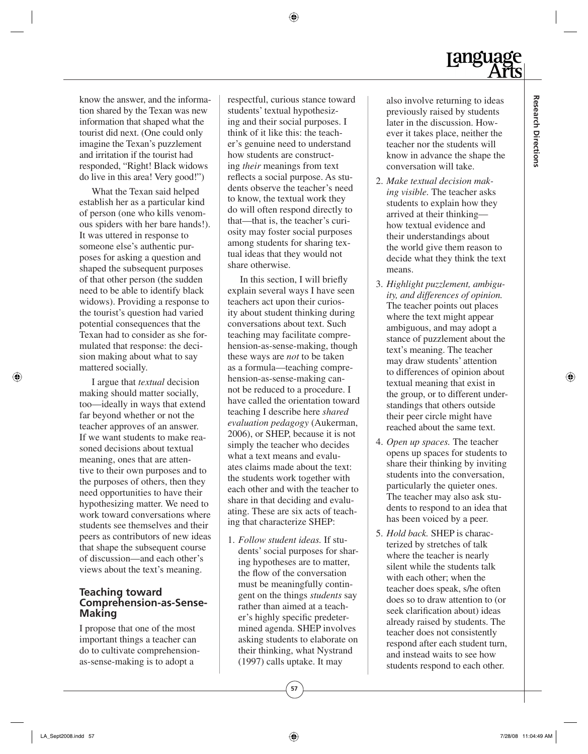know the answer, and the information shared by the Texan was new information that shaped what the tourist did next. (One could only imagine the Texan's puzzlement and irritation if the tourist had responded, "Right! Black widows do live in this area! Very good!")

What the Texan said helped establish her as a particular kind of person (one who kills venomous spiders with her bare hands!). It was uttered in response to someone else's authentic purposes for asking a question and shaped the subsequent purposes of that other person (the sudden need to be able to identify black widows). Providing a response to the tourist's question had varied potential consequences that the Texan had to consider as she formulated that response: the decision making about what to say mattered socially.

I argue that *textual* decision making should matter socially, too—ideally in ways that extend far beyond whether or not the teacher approves of an answer. If we want students to make reasoned decisions about textual meaning, ones that are attentive to their own purposes and to the purposes of others, then they need opportunities to have their hypothesizing matter. We need to work toward conversations where students see themselves and their peers as contributors of new ideas that shape the subsequent course of discussion—and each other's views about the text's meaning.

### **Teaching toward Comprehension-as-Sense-Making**

I propose that one of the most important things a teacher can do to cultivate comprehensionas-sense-making is to adopt a

respectful, curious stance toward students' textual hypothesizing and their social purposes. I think of it like this: the teacher's genuine need to understand how students are constructing *their* meanings from text reflects a social purpose. As students observe the teacher's need to know, the textual work they do will often respond directly to that—that is, the teacher's curiosity may foster social purposes among students for sharing textual ideas that they would not share otherwise.

In this section, I will briefly explain several ways I have seen teachers act upon their curiosity about student thinking during conversations about text. Such teaching may facilitate comprehension-as-sense-making, though these ways are *not* to be taken as a formula—teaching comprehension-as-sense-making cannot be reduced to a procedure. I have called the orientation toward teaching I describe here *shared evaluation pedagogy* (Aukerman, 2006), or SHEP, because it is not simply the teacher who decides what a text means and evaluates claims made about the text: the students work together with each other and with the teacher to share in that deciding and evaluating. These are six acts of teaching that characterize SHEP:

1. *Follow student ideas.* If students' social purposes for sharing hypotheses are to matter, the flow of the conversation must be meaningfully contingent on the things *students* say rather than aimed at a teacher's highly specific predetermined agenda. SHEP involves asking students to elaborate on their thinking, what Nystrand (1997) calls uptake. It may

also involve returning to ideas previously raised by students later in the discussion. However it takes place, neither the teacher nor the students will know in advance the shape the conversation will take.

- 2. *Make textual decision making visible.* The teacher asks students to explain how they arrived at their thinking how textual evidence and their understandings about the world give them reason to decide what they think the text means.
- 3. *Highlight puzzlement, ambiguity, and differences of opinion.* The teacher points out places where the text might appear ambiguous, and may adopt a stance of puzzlement about the text's meaning. The teacher may draw students' attention to differences of opinion about textual meaning that exist in the group, or to different understandings that others outside their peer circle might have reached about the same text.
- 4. *Open up spaces.* The teacher opens up spaces for students to share their thinking by inviting students into the conversation, particularly the quieter ones. The teacher may also ask students to respond to an idea that has been voiced by a peer.
- 5. *Hold back.* SHEP is characterized by stretches of talk where the teacher is nearly silent while the students talk with each other; when the teacher does speak, s/he often does so to draw attention to (or seek clarification about) ideas already raised by students. The teacher does not consistently respond after each student turn, and instead waits to see how students respond to each other.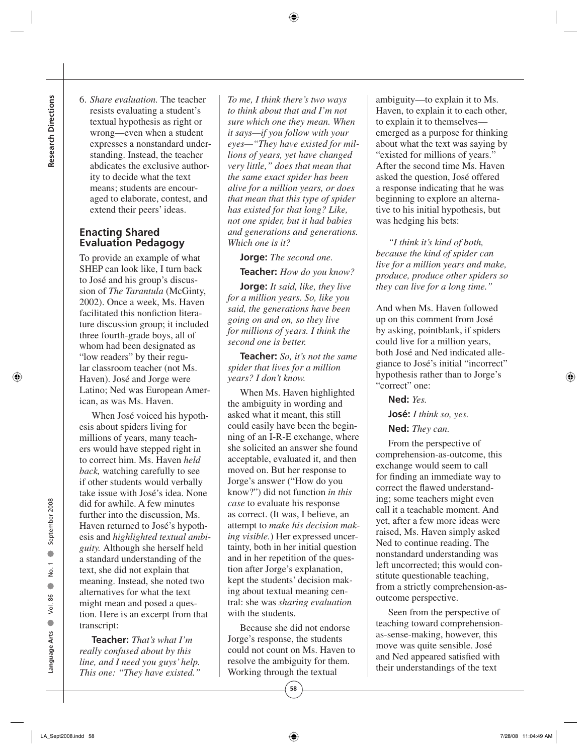6. *Share evaluation.* The teacher resists evaluating a student's textual hypothesis as right or wrong—even when a student expresses a nonstandard understanding. Instead, the teacher abdicates the exclusive authority to decide what the text means; students are encouraged to elaborate, contest, and extend their peers' ideas.

# **Enacting Shared Evaluation Pedagogy**

To provide an example of what SHEP can look like, I turn back to José and his group's discussion of *The Tarantula* (McGinty, 2002). Once a week, Ms. Haven facilitated this nonfiction literature discussion group; it included three fourth-grade boys, all of whom had been designated as "low readers" by their regular classroom teacher (not Ms. Haven). José and Jorge were Latino; Ned was European American, as was Ms. Haven.

When José voiced his hypothesis about spiders living for millions of years, many teachers would have stepped right in to correct him. Ms. Haven *held back,* watching carefully to see if other students would verbally take issue with José's idea. None did for awhile. A few minutes further into the discussion, Ms. Haven returned to José's hypothesis and *highlighted textual ambiguity.* Although she herself held a standard understanding of the text, she did not explain that meaning. Instead, she noted two alternatives for what the text might mean and posed a question. Here is an excerpt from that transcript:

**Teacher:** *That's what I'm really confused about by this line, and I need you guys' help. This one: "They have existed."* 

*To me, I think there's two ways to think about that and I'm not sure which one they mean. When it says—if you follow with your eyes—"They have existed for millions of years, yet have changed very little," does that mean that the same exact spider has been alive for a million years, or does that mean that this type of spider has existed for that long? Like, not one spider, but it had babies and generations and generations. Which one is it?*

**Jorge:** *The second one.*

**Teacher:** *How do you know?*

**Jorge:** *It said, like, they live for a million years. So, like you said, the generations have been going on and on, so they live for millions of years. I think the second one is better.*

**Teacher:** *So, it's not the same spider that lives for a million years? I don't know.*

When Ms. Haven highlighted the ambiguity in wording and asked what it meant, this still could easily have been the beginning of an I-R-E exchange, where she solicited an answer she found acceptable, evaluated it, and then moved on. But her response to Jorge's answer ("How do you know?") did not function *in this case* to evaluate his response as correct. (It was, I believe, an attempt to *make his decision making visible.*) Her expressed uncertainty, both in her initial question and in her repetition of the question after Jorge's explanation, kept the students' decision making about textual meaning central: she was *sharing evaluation* with the students.

Because she did not endorse Jorge's response, the students could not count on Ms. Haven to resolve the ambiguity for them. Working through the textual

ambiguity—to explain it to Ms. Haven, to explain it to each other, to explain it to themselves emerged as a purpose for thinking about what the text was saying by "existed for millions of years." After the second time Ms. Haven asked the question, José offered a response indicating that he was beginning to explore an alternative to his initial hypothesis, but was hedging his bets:

*"I think it's kind of both, because the kind of spider can live for a million years and make, produce, produce other spiders so they can live for a long time."*

And when Ms. Haven followed up on this comment from José by asking, pointblank, if spiders could live for a million years, both José and Ned indicated allegiance to José's initial "incorrect" hypothesis rather than to Jorge's "correct" one:

**Ned:** *Yes.*

**José:** *I think so, yes.*

**Ned:** *They can.*

From the perspective of comprehension-as-outcome, this exchange would seem to call for finding an immediate way to correct the flawed understanding; some teachers might even call it a teachable moment. And yet, after a few more ideas were raised, Ms. Haven simply asked Ned to continue reading. The nonstandard understanding was left uncorrected; this would constitute questionable teaching, from a strictly comprehension-as outcome perspective.

Seen from the perspective of teaching toward comprehensionas-sense-making, however, this move was quite sensible. José and Ned appeared satisfied with their understandings of the text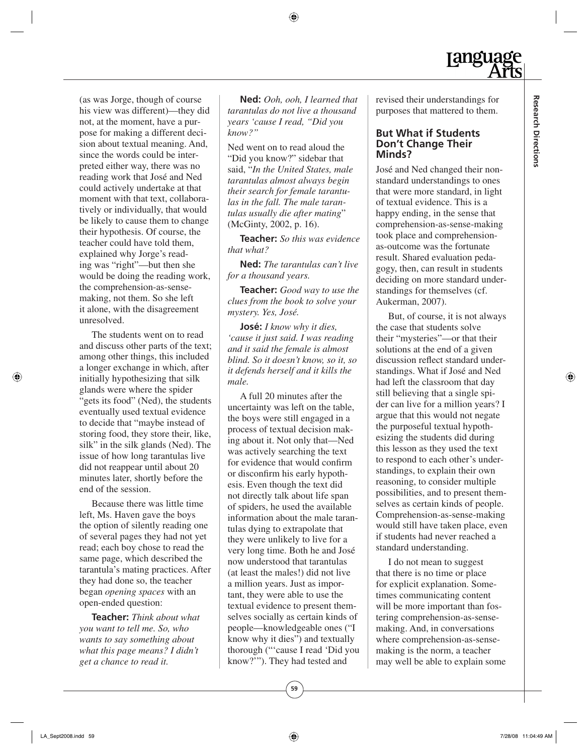(as was Jorge, though of course his view was different)—they did not, at the moment, have a purpose for making a different decision about textual meaning. And, since the words could be interpreted either way, there was no reading work that José and Ned could actively undertake at that moment with that text, collaboratively or individually, that would be likely to cause them to change their hypothesis. Of course, the teacher could have told them, explained why Jorge's reading was "right"—but then she would be doing the reading work, the comprehension-as-sensemaking, not them. So she left it alone, with the disagreement unresolved.

The students went on to read and discuss other parts of the text; among other things, this included a longer exchange in which, after initially hypothesizing that silk glands were where the spider "gets its food" (Ned), the students eventually used textual evidence to decide that "maybe instead of storing food, they store their, like, silk" in the silk glands (Ned). The issue of how long tarantulas live did not reappear until about 20 minutes later, shortly before the end of the session.

Because there was little time left, Ms. Haven gave the boys the option of silently reading one of several pages they had not yet read; each boy chose to read the same page, which described the tarantula's mating practices. After they had done so, the teacher began *opening spaces* with an open-ended question:

**Teacher:** *Think about what you want to tell me. So, who wants to say something about what this page means? I didn't get a chance to read it.*

**Ned:** *Ooh, ooh, I learned that tarantulas do not live a thousand years 'cause I read, "Did you know?"*

Ned went on to read aloud the "Did you know?" sidebar that said, "*In the United States, male tarantulas almost always begin their search for female tarantulas in the fall. The male tarantulas usually die after mating*" (McGinty, 2002, p. 16).

**Teacher:** *So this was evidence that what?*

**Ned:** *The tarantulas can't live for a thousand years.*

**Teacher:** *Good way to use the clues from the book to solve your mystery. Yes, José.*

**José:** *I know why it dies, 'cause it just said. I was reading and it said the female is almost blind. So it doesn't know, so it, so it defends herself and it kills the male.*

A full 20 minutes after the uncertainty was left on the table, the boys were still engaged in a process of textual decision making about it. Not only that—Ned was actively searching the text for evidence that would confirm or disconfirm his early hypothesis. Even though the text did not directly talk about life span of spiders, he used the available information about the male tarantulas dying to extrapolate that they were unlikely to live for a very long time. Both he and José now understood that tarantulas (at least the males!) did not live a million years. Just as important, they were able to use the textual evidence to present themselves socially as certain kinds of people—knowledgeable ones ("I know why it dies") and textually thorough ("'cause I read 'Did you know?'"). They had tested and

revised their understandings for purposes that mattered to them.

**Jangua** 

#### **But What if Students Don't Change Their Minds?**

José and Ned changed their nonstandard understandings to ones that were more standard, in light of textual evidence. This is a happy ending, in the sense that comprehension-as-sense-making took place and comprehensionas-outcome was the fortunate result. Shared evaluation pedagogy, then, can result in students deciding on more standard understandings for themselves (cf. Aukerman, 2007).

But, of course, it is not always the case that students solve their "mysteries"—or that their solutions at the end of a given discussion reflect standard understandings. What if José and Ned had left the classroom that day still believing that a single spider can live for a million years? I argue that this would not negate the purposeful textual hypothesizing the students did during this lesson as they used the text to respond to each other's understandings, to explain their own reasoning, to consider multiple possibilities, and to present themselves as certain kinds of people. Comprehension-as-sense-making would still have taken place, even if students had never reached a standard understanding.

I do not mean to suggest that there is no time or place for explicit explanation. Sometimes communicating content will be more important than fostering comprehension-as-sense making. And, in conversations where comprehension-as-sensemaking is the norm, a teacher may well be able to explain some